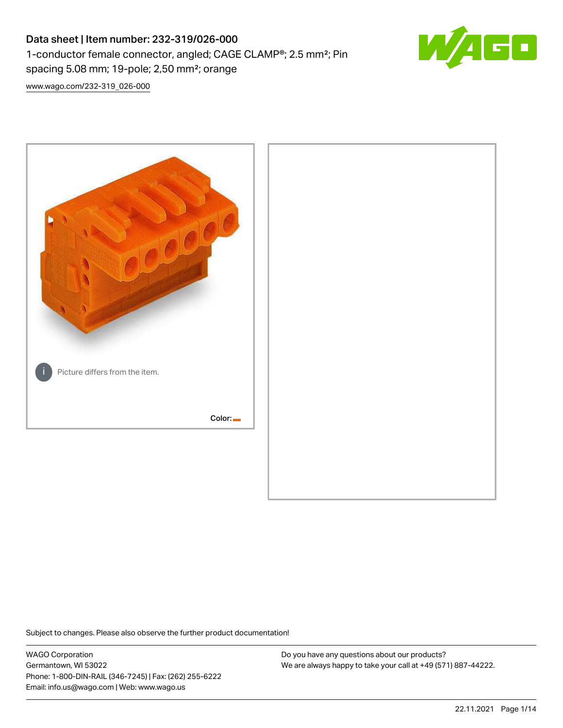# Data sheet | Item number: 232-319/026-000 1-conductor female connector, angled; CAGE CLAMP®; 2.5 mm²; Pin spacing 5.08 mm; 19-pole; 2,50 mm²; orange



[www.wago.com/232-319\\_026-000](http://www.wago.com/232-319_026-000)



Subject to changes. Please also observe the further product documentation!

WAGO Corporation Germantown, WI 53022 Phone: 1-800-DIN-RAIL (346-7245) | Fax: (262) 255-6222 Email: info.us@wago.com | Web: www.wago.us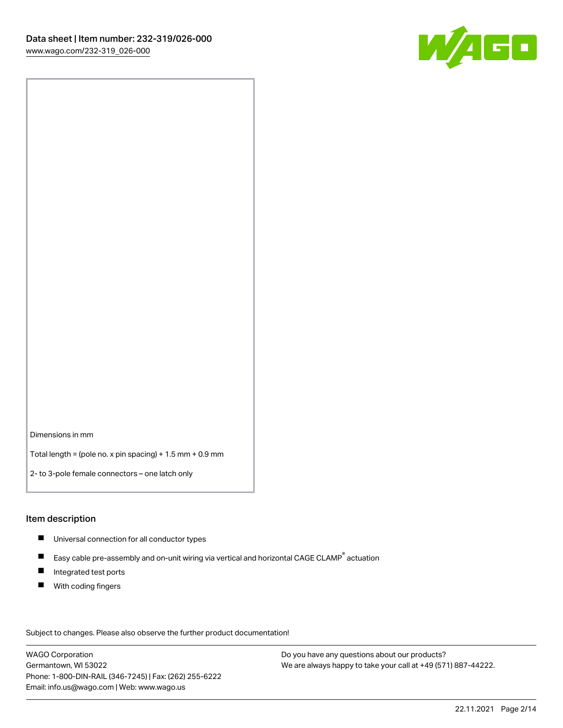

Dimensions in mm

Total length = (pole no. x pin spacing) + 1.5 mm + 0.9 mm

2- to 3-pole female connectors – one latch only

#### Item description

- **Universal connection for all conductor types**
- Easy cable pre-assembly and on-unit wiring via vertical and horizontal CAGE CLAMP<sup>®</sup> actuation  $\blacksquare$
- $\blacksquare$ Integrated test ports
- $\blacksquare$ With coding fingers

Subject to changes. Please also observe the further product documentation! Data

WAGO Corporation Germantown, WI 53022 Phone: 1-800-DIN-RAIL (346-7245) | Fax: (262) 255-6222 Email: info.us@wago.com | Web: www.wago.us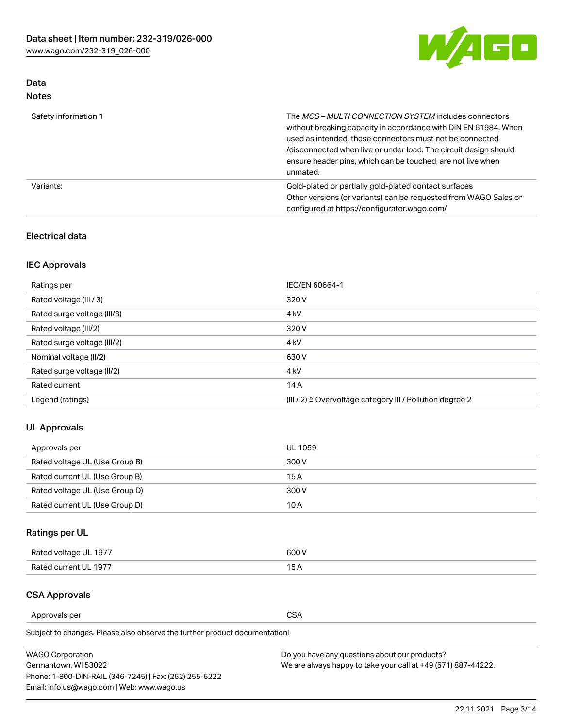

## Data Notes

| Safety information 1 | The MCS-MULTI CONNECTION SYSTEM includes connectors<br>without breaking capacity in accordance with DIN EN 61984. When<br>used as intended, these connectors must not be connected<br>/disconnected when live or under load. The circuit design should<br>ensure header pins, which can be touched, are not live when<br>unmated. |
|----------------------|-----------------------------------------------------------------------------------------------------------------------------------------------------------------------------------------------------------------------------------------------------------------------------------------------------------------------------------|
| Variants:            | Gold-plated or partially gold-plated contact surfaces<br>Other versions (or variants) can be requested from WAGO Sales or<br>configured at https://configurator.wago.com/                                                                                                                                                         |

#### Electrical data

## IEC Approvals

| Ratings per                 | IEC/EN 60664-1                                                        |
|-----------------------------|-----------------------------------------------------------------------|
| Rated voltage (III / 3)     | 320 V                                                                 |
| Rated surge voltage (III/3) | 4 <sub>k</sub> V                                                      |
| Rated voltage (III/2)       | 320 V                                                                 |
| Rated surge voltage (III/2) | 4 <sub>k</sub> V                                                      |
| Nominal voltage (II/2)      | 630 V                                                                 |
| Rated surge voltage (II/2)  | 4 <sub>k</sub> V                                                      |
| Rated current               | 14A                                                                   |
| Legend (ratings)            | $(III / 2)$ $\triangle$ Overvoltage category III / Pollution degree 2 |

## UL Approvals

| Approvals per                  | UL 1059 |
|--------------------------------|---------|
| Rated voltage UL (Use Group B) | 300 V   |
| Rated current UL (Use Group B) | 15 A    |
| Rated voltage UL (Use Group D) | 300 V   |
| Rated current UL (Use Group D) | 10 A    |

# Ratings per UL

| Rated voltage UL 1977 | 300 V |
|-----------------------|-------|
| Rated current UL 1977 |       |

#### CSA Approvals

Approvals per CSA

Subject to changes. Please also observe the further product documentation!

| <b>WAGO Corporation</b>                                | Do you have any questions about our products?                 |
|--------------------------------------------------------|---------------------------------------------------------------|
| Germantown, WI 53022                                   | We are always happy to take your call at +49 (571) 887-44222. |
| Phone: 1-800-DIN-RAIL (346-7245)   Fax: (262) 255-6222 |                                                               |
| Email: info.us@wago.com   Web: www.wago.us             |                                                               |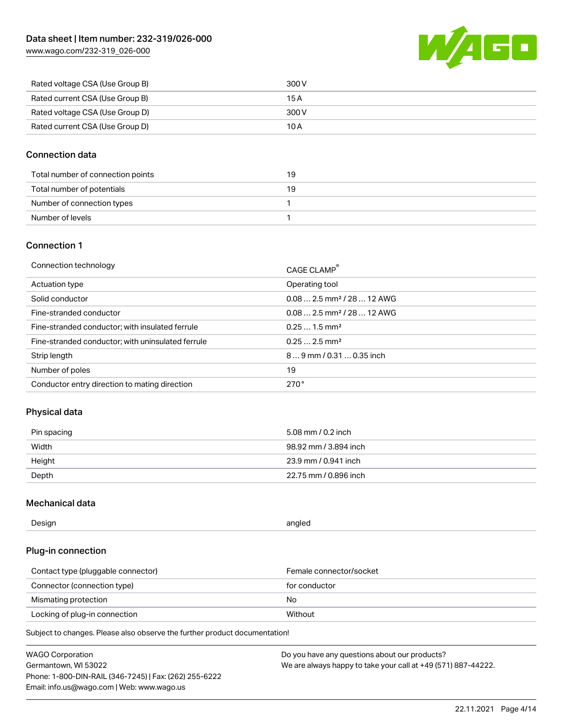

| Rated voltage CSA (Use Group B) | 300 V |
|---------------------------------|-------|
| Rated current CSA (Use Group B) | 15 A  |
| Rated voltage CSA (Use Group D) | 300 V |
| Rated current CSA (Use Group D) | 10 A  |

#### Connection data

| Total number of connection points | 19 |
|-----------------------------------|----|
| Total number of potentials        | 19 |
| Number of connection types        |    |
| Number of levels                  |    |

#### Connection 1

| Connection technology                             | CAGE CLAMP®                            |
|---------------------------------------------------|----------------------------------------|
| Actuation type                                    | Operating tool                         |
| Solid conductor                                   | $0.082.5$ mm <sup>2</sup> / 28  12 AWG |
| Fine-stranded conductor                           | $0.082.5$ mm <sup>2</sup> / 28  12 AWG |
| Fine-stranded conductor; with insulated ferrule   | $0.251.5$ mm <sup>2</sup>              |
| Fine-stranded conductor; with uninsulated ferrule | $0.252.5$ mm <sup>2</sup>              |
| Strip length                                      | $89$ mm $/ 0.310.35$ inch              |
| Number of poles                                   | 19                                     |
| Conductor entry direction to mating direction     | 270°                                   |

## Physical data

| Pin spacing | 5.08 mm / 0.2 inch    |
|-------------|-----------------------|
| Width       | 98.92 mm / 3.894 inch |
| Height      | 23.9 mm / 0.941 inch  |
| Depth       | 22.75 mm / 0.896 inch |

#### Mechanical data

| --<br>Design | angled<br>. . |
|--------------|---------------|
|              |               |

### Plug-in connection

| Contact type (pluggable connector) | Female connector/socket |
|------------------------------------|-------------------------|
| Connector (connection type)        | for conductor           |
| Mismating protection               | No.                     |
| Locking of plug-in connection      | Without                 |

Subject to changes. Please also observe the further product documentation!

| <b>WAGO Corporation</b>                                | Do you have any questions about our products?                 |
|--------------------------------------------------------|---------------------------------------------------------------|
| Germantown, WI 53022                                   | We are always happy to take your call at +49 (571) 887-44222. |
| Phone: 1-800-DIN-RAIL (346-7245)   Fax: (262) 255-6222 |                                                               |
| Email: info.us@wago.com   Web: www.wago.us             |                                                               |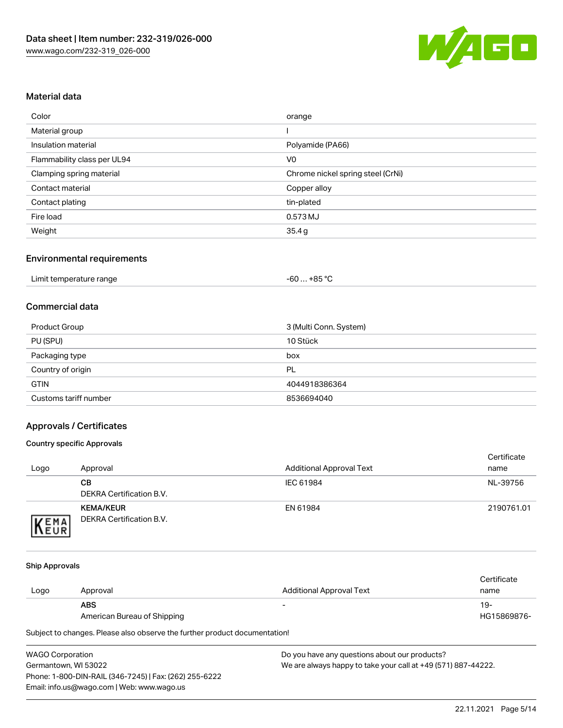

#### Material data

| Color                       | orange                            |
|-----------------------------|-----------------------------------|
| Material group              |                                   |
| Insulation material         | Polyamide (PA66)                  |
| Flammability class per UL94 | V <sub>0</sub>                    |
| Clamping spring material    | Chrome nickel spring steel (CrNi) |
| Contact material            | Copper alloy                      |
| Contact plating             | tin-plated                        |
| Fire load                   | 0.573 MJ                          |
| Weight                      | 35.4g                             |

#### Environmental requirements

| Limit temperature range<br>. | . +85 °Ր<br>cn.<br>-ou |  |
|------------------------------|------------------------|--|
|------------------------------|------------------------|--|

#### Commercial data

| Product Group         | 3 (Multi Conn. System) |
|-----------------------|------------------------|
| PU (SPU)              | 10 Stück               |
| Packaging type        | box                    |
| Country of origin     | PL                     |
| <b>GTIN</b>           | 4044918386364          |
| Customs tariff number | 8536694040             |

## Approvals / Certificates

#### Country specific Approvals

| Logo                | Approval                                     | <b>Additional Approval Text</b> | Certificate<br>name |
|---------------------|----------------------------------------------|---------------------------------|---------------------|
|                     | CВ<br>DEKRA Certification B.V.               | IEC 61984                       | NL-39756            |
| EMA<br><b>INEUR</b> | <b>KEMA/KEUR</b><br>DEKRA Certification B.V. | EN 61984                        | 2190761.01          |

#### Ship Approvals

|      |                             |                          | Certificate |
|------|-----------------------------|--------------------------|-------------|
| Logo | Approval                    | Additional Approval Text | name        |
|      | <b>ABS</b>                  | $\overline{\phantom{0}}$ | 19-         |
|      | American Bureau of Shipping |                          | HG15869876- |

Subject to changes. Please also observe the further product documentation!

| <b>WAGO Corporation</b>                                | Dı |
|--------------------------------------------------------|----|
| Germantown, WI 53022                                   | w  |
| Phone: 1-800-DIN-RAIL (346-7245)   Fax: (262) 255-6222 |    |
| Email: info.us@wago.com   Web: www.wago.us             |    |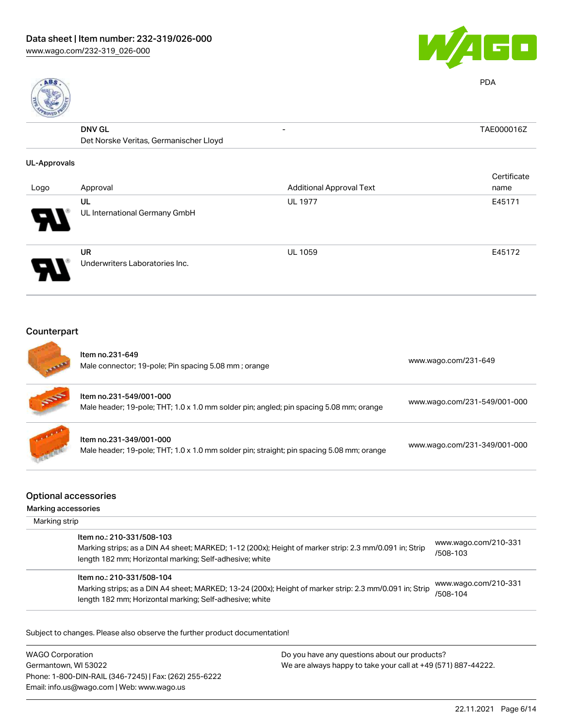



PDA

| E                   |                                        |                                 |             |
|---------------------|----------------------------------------|---------------------------------|-------------|
|                     | <b>DNV GL</b>                          | $\overline{\phantom{a}}$        | TAE000016Z  |
|                     | Det Norske Veritas, Germanischer Lloyd |                                 |             |
| <b>UL-Approvals</b> |                                        |                                 |             |
|                     |                                        |                                 | Certificate |
| Logo                | Approval                               | <b>Additional Approval Text</b> | name        |
|                     | UL                                     | <b>UL 1977</b>                  | E45171      |
|                     | UL International Germany GmbH          |                                 |             |
|                     | UR                                     | <b>UL 1059</b>                  | E45172      |
|                     | Underwriters Laboratories Inc.         |                                 |             |

# Counterpart

| <b>ATTAIN</b> | Item no.231-649<br>Male connector; 19-pole; Pin spacing 5.08 mm; orange                                              | www.wago.com/231-649         |
|---------------|----------------------------------------------------------------------------------------------------------------------|------------------------------|
| 55            | Item no.231-549/001-000<br>Male header; 19-pole; THT; 1.0 x 1.0 mm solder pin; angled; pin spacing 5.08 mm; orange   | www.wago.com/231-549/001-000 |
|               | Item no.231-349/001-000<br>Male header; 19-pole; THT; 1.0 x 1.0 mm solder pin; straight; pin spacing 5.08 mm; orange | www.wago.com/231-349/001-000 |
|               |                                                                                                                      |                              |

## Optional accessories

#### Marking accessories

| Marking strip |                                                                                                                                                                                                 |                                  |
|---------------|-------------------------------------------------------------------------------------------------------------------------------------------------------------------------------------------------|----------------------------------|
|               | Item no.: 210-331/508-103<br>Marking strips; as a DIN A4 sheet; MARKED; 1-12 (200x); Height of marker strip: 2.3 mm/0.091 in; Strip<br>length 182 mm; Horizontal marking; Self-adhesive; white  | www.wago.com/210-331<br>/508-103 |
|               | Item no.: 210-331/508-104<br>Marking strips; as a DIN A4 sheet; MARKED; 13-24 (200x); Height of marker strip: 2.3 mm/0.091 in; Strip<br>length 182 mm; Horizontal marking; Self-adhesive; white | www.wago.com/210-331<br>/508-104 |

Subject to changes. Please also observe the further product documentation!

WAGO Corporation Germantown, WI 53022 Phone: 1-800-DIN-RAIL (346-7245) | Fax: (262) 255-6222 Email: info.us@wago.com | Web: www.wago.us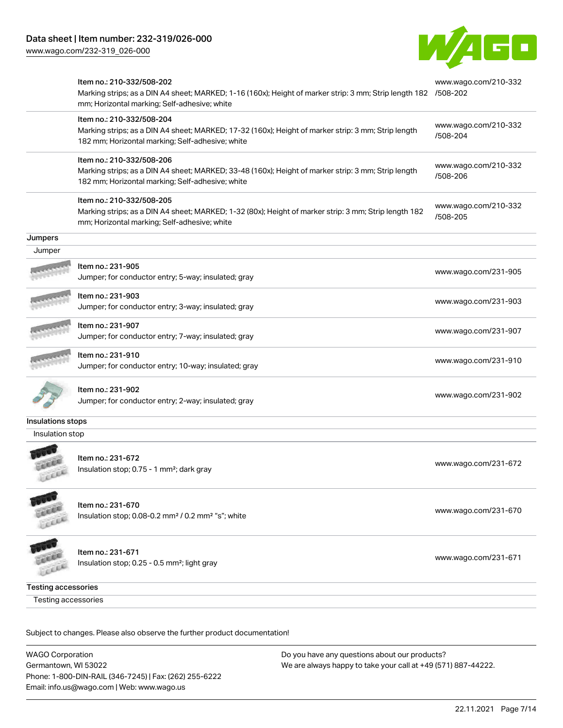

|                            | Item no.: 210-332/508-202<br>Marking strips; as a DIN A4 sheet; MARKED; 1-16 (160x); Height of marker strip: 3 mm; Strip length 182 /508-202<br>mm; Horizontal marking; Self-adhesive; white | www.wago.com/210-332             |
|----------------------------|----------------------------------------------------------------------------------------------------------------------------------------------------------------------------------------------|----------------------------------|
|                            | Item no.: 210-332/508-204<br>Marking strips; as a DIN A4 sheet; MARKED; 17-32 (160x); Height of marker strip: 3 mm; Strip length<br>182 mm; Horizontal marking; Self-adhesive; white         | www.wago.com/210-332<br>/508-204 |
|                            | Item no.: 210-332/508-206<br>Marking strips; as a DIN A4 sheet; MARKED; 33-48 (160x); Height of marker strip: 3 mm; Strip length<br>182 mm; Horizontal marking; Self-adhesive; white         | www.wago.com/210-332<br>/508-206 |
|                            | Item no.: 210-332/508-205<br>Marking strips; as a DIN A4 sheet; MARKED; 1-32 (80x); Height of marker strip: 3 mm; Strip length 182<br>mm; Horizontal marking; Self-adhesive; white           | www.wago.com/210-332<br>/508-205 |
| Jumpers                    |                                                                                                                                                                                              |                                  |
| Jumper                     |                                                                                                                                                                                              |                                  |
|                            | Item no.: 231-905<br>Jumper; for conductor entry; 5-way; insulated; gray                                                                                                                     | www.wago.com/231-905             |
|                            | Item no.: 231-903<br>Jumper; for conductor entry; 3-way; insulated; gray                                                                                                                     | www.wago.com/231-903             |
|                            | Item no.: 231-907<br>Jumper; for conductor entry; 7-way; insulated; gray                                                                                                                     | www.wago.com/231-907             |
|                            | Item no.: 231-910<br>Jumper; for conductor entry; 10-way; insulated; gray                                                                                                                    | www.wago.com/231-910             |
|                            | Item no.: 231-902<br>Jumper; for conductor entry; 2-way; insulated; gray                                                                                                                     | www.wago.com/231-902             |
| Insulations stops          |                                                                                                                                                                                              |                                  |
| Insulation stop            |                                                                                                                                                                                              |                                  |
|                            | Item no.: 231-672<br>Insulation stop; 0.75 - 1 mm <sup>2</sup> ; dark gray                                                                                                                   | www.wago.com/231-672             |
|                            | Item no.: 231-670<br>Insulation stop; 0.08-0.2 mm <sup>2</sup> / 0.2 mm <sup>2</sup> "s"; white                                                                                              | www.wago.com/231-670             |
| 100                        | Item no.: 231-671<br>Insulation stop; 0.25 - 0.5 mm <sup>2</sup> ; light gray                                                                                                                | www.wago.com/231-671             |
| <b>Testing accessories</b> |                                                                                                                                                                                              |                                  |
| <b>Testing accessories</b> |                                                                                                                                                                                              |                                  |

Subject to changes. Please also observe the further product documentation!

WAGO Corporation Germantown, WI 53022 Phone: 1-800-DIN-RAIL (346-7245) | Fax: (262) 255-6222 Email: info.us@wago.com | Web: www.wago.us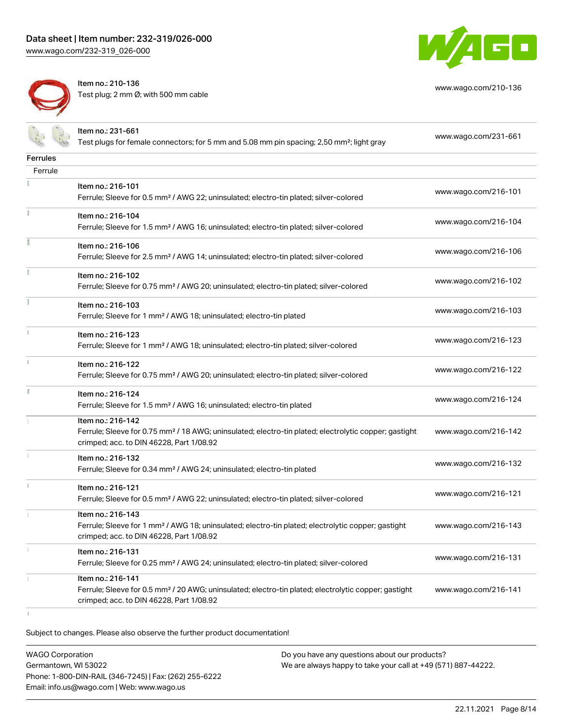

Item no.: 210-136 Test plug; 2 mm Ø; with 500 mm cable



[www.wago.com/210-136](http://www.wago.com/210-136)

|                 | Item no.: 231-661<br>Test plugs for female connectors; for 5 mm and 5.08 mm pin spacing; 2,50 mm <sup>2</sup> ; light gray                                                         | www.wago.com/231-661 |
|-----------------|------------------------------------------------------------------------------------------------------------------------------------------------------------------------------------|----------------------|
| <b>Ferrules</b> |                                                                                                                                                                                    |                      |
| Ferrule         |                                                                                                                                                                                    |                      |
|                 | Item no.: 216-101<br>Ferrule; Sleeve for 0.5 mm <sup>2</sup> / AWG 22; uninsulated; electro-tin plated; silver-colored                                                             | www.wago.com/216-101 |
| Ť.              | Item no.: 216-104<br>Ferrule; Sleeve for 1.5 mm <sup>2</sup> / AWG 16; uninsulated; electro-tin plated; silver-colored                                                             | www.wago.com/216-104 |
|                 | Item no.: 216-106<br>Ferrule; Sleeve for 2.5 mm <sup>2</sup> / AWG 14; uninsulated; electro-tin plated; silver-colored                                                             | www.wago.com/216-106 |
|                 | Item no.: 216-102<br>Ferrule; Sleeve for 0.75 mm <sup>2</sup> / AWG 20; uninsulated; electro-tin plated; silver-colored                                                            | www.wago.com/216-102 |
|                 | Item no.: 216-103<br>Ferrule; Sleeve for 1 mm <sup>2</sup> / AWG 18; uninsulated; electro-tin plated                                                                               | www.wago.com/216-103 |
|                 | Item no.: 216-123<br>Ferrule; Sleeve for 1 mm <sup>2</sup> / AWG 18; uninsulated; electro-tin plated; silver-colored                                                               | www.wago.com/216-123 |
|                 | Item no.: 216-122<br>Ferrule; Sleeve for 0.75 mm <sup>2</sup> / AWG 20; uninsulated; electro-tin plated; silver-colored                                                            | www.wago.com/216-122 |
| I.              | Item no.: 216-124<br>Ferrule; Sleeve for 1.5 mm <sup>2</sup> / AWG 16; uninsulated; electro-tin plated                                                                             | www.wago.com/216-124 |
|                 | Item no.: 216-142<br>Ferrule; Sleeve for 0.75 mm <sup>2</sup> / 18 AWG; uninsulated; electro-tin plated; electrolytic copper; gastight<br>crimped; acc. to DIN 46228, Part 1/08.92 | www.wago.com/216-142 |
|                 | Item no.: 216-132<br>Ferrule; Sleeve for 0.34 mm <sup>2</sup> / AWG 24; uninsulated; electro-tin plated                                                                            | www.wago.com/216-132 |
|                 | Item no.: 216-121<br>Ferrule; Sleeve for 0.5 mm <sup>2</sup> / AWG 22; uninsulated; electro-tin plated; silver-colored                                                             | www.wago.com/216-121 |
|                 | Item no.: 216-143<br>Ferrule; Sleeve for 1 mm <sup>2</sup> / AWG 18; uninsulated; electro-tin plated; electrolytic copper; gastight<br>crimped; acc. to DIN 46228, Part 1/08.92    | www.wago.com/216-143 |
|                 | Item no.: 216-131<br>Ferrule; Sleeve for 0.25 mm <sup>2</sup> / AWG 24; uninsulated; electro-tin plated; silver-colored                                                            | www.wago.com/216-131 |
|                 | Item no.: 216-141<br>Ferrule; Sleeve for 0.5 mm <sup>2</sup> / 20 AWG; uninsulated; electro-tin plated; electrolytic copper; gastight<br>crimped; acc. to DIN 46228, Part 1/08.92  | www.wago.com/216-141 |
|                 |                                                                                                                                                                                    |                      |

Subject to changes. Please also observe the further product documentation!

| WAGO Corporation                                       |  |
|--------------------------------------------------------|--|
| Germantown. WI 53022                                   |  |
| Phone: 1-800-DIN-RAIL (346-7245)   Fax: (262) 255-6222 |  |
| Email: info.us@wago.com   Web: www.wago.us             |  |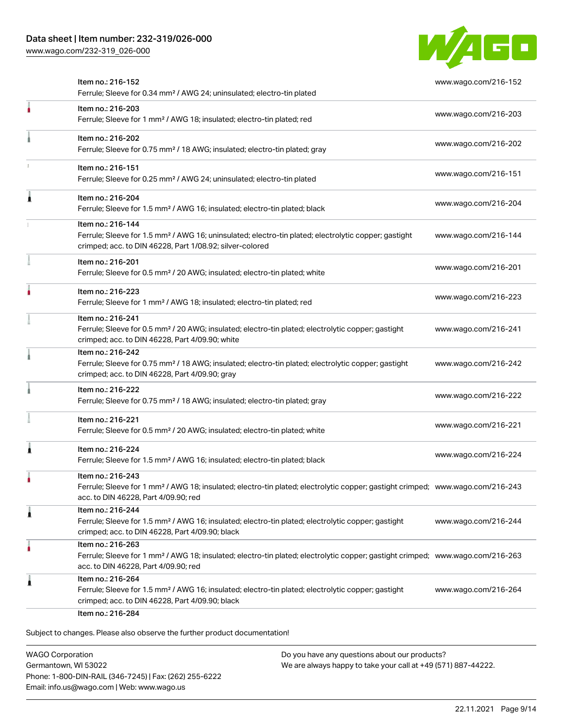

| Item no.: 216-152<br>Ferrule; Sleeve for 0.34 mm <sup>2</sup> / AWG 24; uninsulated; electro-tin plated                                                                                                 | www.wago.com/216-152 |
|---------------------------------------------------------------------------------------------------------------------------------------------------------------------------------------------------------|----------------------|
| Item no.: 216-203<br>Ferrule; Sleeve for 1 mm <sup>2</sup> / AWG 18; insulated; electro-tin plated; red                                                                                                 | www.wago.com/216-203 |
| Item no.: 216-202<br>Ferrule; Sleeve for 0.75 mm <sup>2</sup> / 18 AWG; insulated; electro-tin plated; gray                                                                                             | www.wago.com/216-202 |
| Item no.: 216-151<br>Ferrule; Sleeve for 0.25 mm <sup>2</sup> / AWG 24; uninsulated; electro-tin plated                                                                                                 | www.wago.com/216-151 |
| Item no.: 216-204<br>Ferrule; Sleeve for 1.5 mm <sup>2</sup> / AWG 16; insulated; electro-tin plated; black                                                                                             | www.wago.com/216-204 |
| Item no.: 216-144<br>Ferrule; Sleeve for 1.5 mm <sup>2</sup> / AWG 16; uninsulated; electro-tin plated; electrolytic copper; gastight<br>crimped; acc. to DIN 46228, Part 1/08.92; silver-colored       | www.wago.com/216-144 |
| Item no.: 216-201<br>Ferrule; Sleeve for 0.5 mm <sup>2</sup> / 20 AWG; insulated; electro-tin plated; white                                                                                             | www.wago.com/216-201 |
| Item no.: 216-223<br>Ferrule; Sleeve for 1 mm <sup>2</sup> / AWG 18; insulated; electro-tin plated; red                                                                                                 | www.wago.com/216-223 |
| Item no.: 216-241<br>Ferrule; Sleeve for 0.5 mm <sup>2</sup> / 20 AWG; insulated; electro-tin plated; electrolytic copper; gastight<br>crimped; acc. to DIN 46228, Part 4/09.90; white                  | www.wago.com/216-241 |
| Item no.: 216-242<br>Ferrule; Sleeve for 0.75 mm <sup>2</sup> / 18 AWG; insulated; electro-tin plated; electrolytic copper; gastight<br>crimped; acc. to DIN 46228, Part 4/09.90; gray                  | www.wago.com/216-242 |
| Item no.: 216-222<br>Ferrule; Sleeve for 0.75 mm <sup>2</sup> / 18 AWG; insulated; electro-tin plated; gray                                                                                             | www.wago.com/216-222 |
| Item no.: 216-221<br>Ferrule; Sleeve for 0.5 mm <sup>2</sup> / 20 AWG; insulated; electro-tin plated; white                                                                                             | www.wago.com/216-221 |
| Item no.: 216-224<br>Ferrule; Sleeve for 1.5 mm <sup>2</sup> / AWG 16; insulated; electro-tin plated; black                                                                                             | www.wago.com/216-224 |
| Item no.: 216-243<br>Ferrule; Sleeve for 1 mm <sup>2</sup> / AWG 18; insulated; electro-tin plated; electrolytic copper; gastight crimped; www.wago.com/216-243<br>acc. to DIN 46228, Part 4/09.90; red |                      |
| Item no.: 216-244<br>Ferrule; Sleeve for 1.5 mm <sup>2</sup> / AWG 16; insulated; electro-tin plated; electrolytic copper; gastight<br>crimped; acc. to DIN 46228, Part 4/09.90; black                  | www.wago.com/216-244 |
| Item no.: 216-263<br>Ferrule; Sleeve for 1 mm <sup>2</sup> / AWG 18; insulated; electro-tin plated; electrolytic copper; gastight crimped; www.wago.com/216-263<br>acc. to DIN 46228, Part 4/09.90; red |                      |
| Item no.: 216-264<br>Ferrule; Sleeve for 1.5 mm <sup>2</sup> / AWG 16; insulated; electro-tin plated; electrolytic copper; gastight<br>crimped; acc. to DIN 46228, Part 4/09.90; black                  | www.wago.com/216-264 |

WAGO Corporation Germantown, WI 53022 Phone: 1-800-DIN-RAIL (346-7245) | Fax: (262) 255-6222 Email: info.us@wago.com | Web: www.wago.us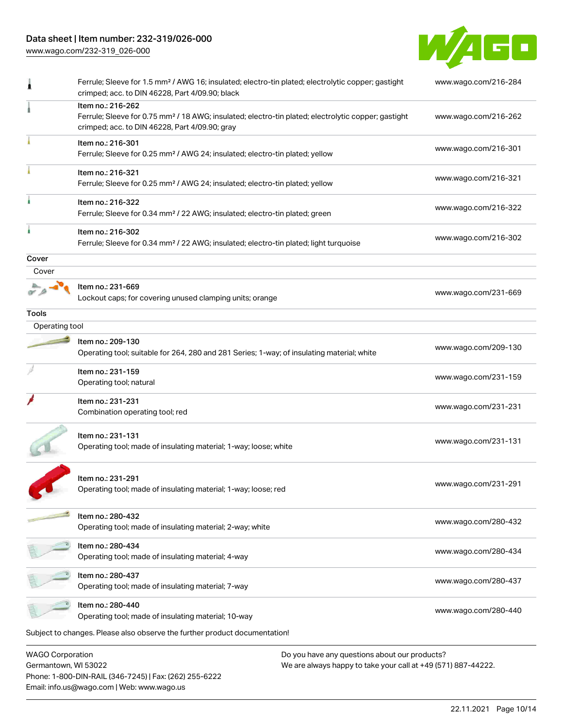## Data sheet | Item number: 232-319/026-000

[www.wago.com/232-319\\_026-000](http://www.wago.com/232-319_026-000)

Email: info.us@wago.com | Web: www.wago.us



|                                                 | Ferrule; Sleeve for 1.5 mm <sup>2</sup> / AWG 16; insulated; electro-tin plated; electrolytic copper; gastight<br>crimped; acc. to DIN 46228, Part 4/09.90; black                      | www.wago.com/216-284                                                                                           |  |
|-------------------------------------------------|----------------------------------------------------------------------------------------------------------------------------------------------------------------------------------------|----------------------------------------------------------------------------------------------------------------|--|
|                                                 | Item no.: 216-262<br>Ferrule; Sleeve for 0.75 mm <sup>2</sup> / 18 AWG; insulated; electro-tin plated; electrolytic copper; gastight<br>crimped; acc. to DIN 46228, Part 4/09.90; gray | www.wago.com/216-262                                                                                           |  |
|                                                 | Item no.: 216-301<br>Ferrule; Sleeve for 0.25 mm <sup>2</sup> / AWG 24; insulated; electro-tin plated; yellow                                                                          | www.wago.com/216-301                                                                                           |  |
|                                                 | Item no.: 216-321<br>Ferrule; Sleeve for 0.25 mm <sup>2</sup> / AWG 24; insulated; electro-tin plated; yellow                                                                          | www.wago.com/216-321                                                                                           |  |
|                                                 | Item no.: 216-322<br>Ferrule; Sleeve for 0.34 mm <sup>2</sup> / 22 AWG; insulated; electro-tin plated; green                                                                           | www.wago.com/216-322                                                                                           |  |
|                                                 | Item no.: 216-302<br>Ferrule; Sleeve for 0.34 mm <sup>2</sup> / 22 AWG; insulated; electro-tin plated; light turquoise                                                                 | www.wago.com/216-302                                                                                           |  |
| Cover                                           |                                                                                                                                                                                        |                                                                                                                |  |
| Cover                                           |                                                                                                                                                                                        |                                                                                                                |  |
|                                                 | Item no.: 231-669<br>Lockout caps; for covering unused clamping units; orange                                                                                                          | www.wago.com/231-669                                                                                           |  |
| Tools                                           |                                                                                                                                                                                        |                                                                                                                |  |
| Operating tool                                  |                                                                                                                                                                                        |                                                                                                                |  |
|                                                 | Item no.: 209-130<br>Operating tool; suitable for 264, 280 and 281 Series; 1-way; of insulating material; white                                                                        | www.wago.com/209-130                                                                                           |  |
|                                                 | Item no.: 231-159<br>Operating tool; natural                                                                                                                                           | www.wago.com/231-159                                                                                           |  |
|                                                 | Item no.: 231-231<br>Combination operating tool; red                                                                                                                                   | www.wago.com/231-231                                                                                           |  |
|                                                 | Item no.: 231-131<br>Operating tool; made of insulating material; 1-way; loose; white                                                                                                  | www.wago.com/231-131                                                                                           |  |
|                                                 | Item no.: 231-291<br>Operating tool; made of insulating material; 1-way; loose; red                                                                                                    | www.wago.com/231-291                                                                                           |  |
|                                                 | Item no.: 280-432<br>Operating tool; made of insulating material; 2-way; white                                                                                                         | www.wago.com/280-432                                                                                           |  |
|                                                 | Item no.: 280-434<br>Operating tool; made of insulating material; 4-way                                                                                                                | www.wago.com/280-434                                                                                           |  |
|                                                 | Item no.: 280-437<br>Operating tool; made of insulating material; 7-way                                                                                                                | www.wago.com/280-437                                                                                           |  |
|                                                 | Item no.: 280-440<br>Operating tool; made of insulating material; 10-way                                                                                                               | www.wago.com/280-440                                                                                           |  |
|                                                 | Subject to changes. Please also observe the further product documentation!                                                                                                             |                                                                                                                |  |
| <b>WAGO Corporation</b><br>Germantown, WI 53022 | Phone: 1-800-DIN-RAIL (346-7245)   Fax: (262) 255-6222                                                                                                                                 | Do you have any questions about our products?<br>We are always happy to take your call at +49 (571) 887-44222. |  |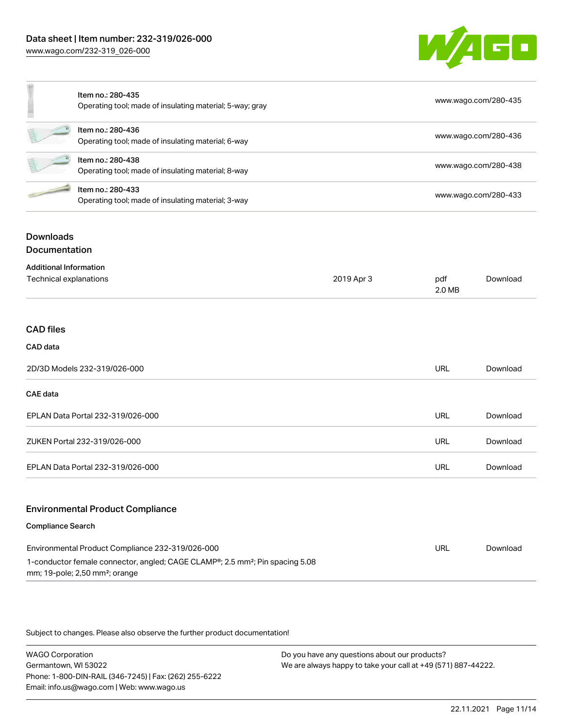

|   | Item no.: 280-435<br>Operating tool; made of insulating material; 5-way; gray | www.wago.com/280-435 |
|---|-------------------------------------------------------------------------------|----------------------|
| É | Item no.: 280-436<br>Operating tool; made of insulating material; 6-way       | www.wago.com/280-436 |
|   | Item no.: 280-438<br>Operating tool; made of insulating material; 8-way       | www.wago.com/280-438 |
|   | Item no.: 280-433<br>Operating tool; made of insulating material; 3-way       | www.wago.com/280-433 |

# Downloads

Documentation

| <b>Additional Information</b>                                                             |            |               |          |
|-------------------------------------------------------------------------------------------|------------|---------------|----------|
| Technical explanations                                                                    | 2019 Apr 3 | pdf<br>2.0 MB | Download |
|                                                                                           |            |               |          |
| <b>CAD files</b>                                                                          |            |               |          |
| CAD data                                                                                  |            |               |          |
| 2D/3D Models 232-319/026-000                                                              |            | URL           | Download |
| <b>CAE</b> data                                                                           |            |               |          |
| EPLAN Data Portal 232-319/026-000                                                         |            | URL           | Download |
| ZUKEN Portal 232-319/026-000                                                              |            | URL           | Download |
| EPLAN Data Portal 232-319/026-000                                                         |            | URL           | Download |
| <b>Environmental Product Compliance</b>                                                   |            |               |          |
| <b>Compliance Search</b>                                                                  |            |               |          |
| Environmental Product Compliance 232-319/026-000                                          |            | URL           | Download |
| 1-conductor female connector, angled; CAGE CLAMP®; 2.5 mm <sup>2</sup> ; Pin spacing 5.08 |            |               |          |

mm; 19-pole; 2,50 mm²; orange

Subject to changes. Please also observe the further product documentation!

WAGO Corporation Germantown, WI 53022 Phone: 1-800-DIN-RAIL (346-7245) | Fax: (262) 255-6222 Email: info.us@wago.com | Web: www.wago.us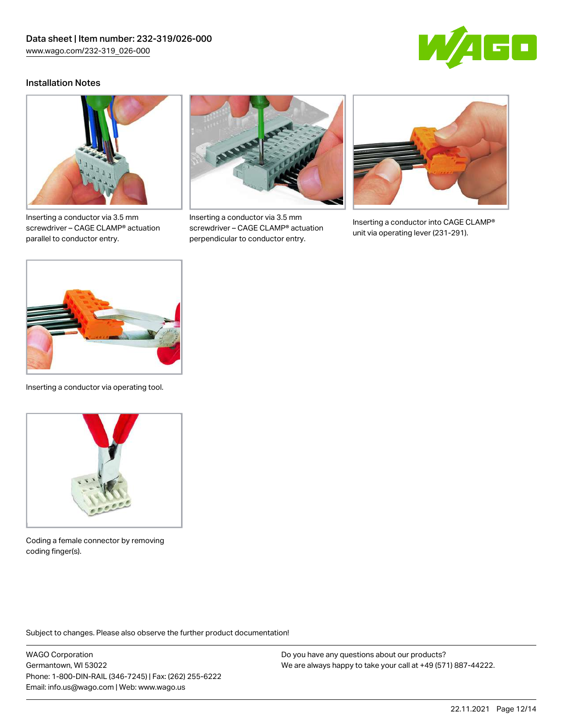

#### Installation Notes



Inserting a conductor via 3.5 mm screwdriver – CAGE CLAMP® actuation parallel to conductor entry.



Inserting a conductor via 3.5 mm screwdriver – CAGE CLAMP® actuation perpendicular to conductor entry.



Inserting a conductor into CAGE CLAMP® unit via operating lever (231-291).



Inserting a conductor via operating tool.



Coding a female connector by removing coding finger(s).

Subject to changes. Please also observe the further product documentation!

WAGO Corporation Germantown, WI 53022 Phone: 1-800-DIN-RAIL (346-7245) | Fax: (262) 255-6222 Email: info.us@wago.com | Web: www.wago.us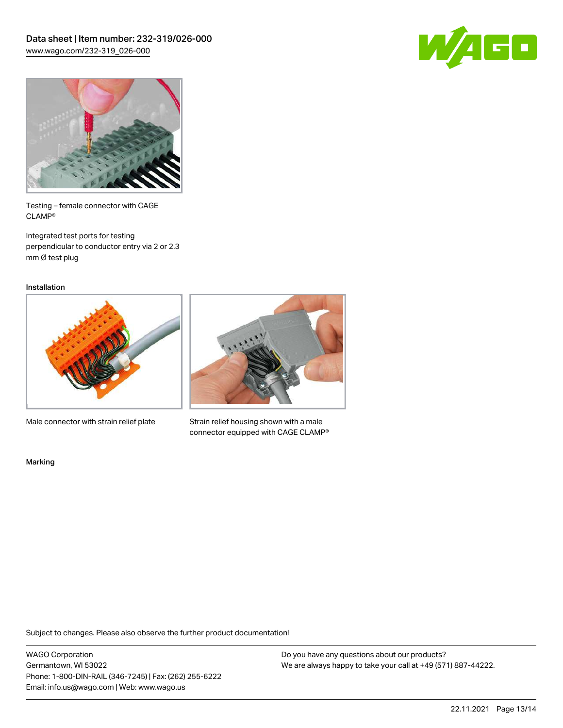



Testing – female connector with CAGE CLAMP®

Integrated test ports for testing perpendicular to conductor entry via 2 or 2.3 mm Ø test plug

Installation



Male connector with strain relief plate



Strain relief housing shown with a male connector equipped with CAGE CLAMP®

Marking

Subject to changes. Please also observe the further product documentation!

WAGO Corporation Germantown, WI 53022 Phone: 1-800-DIN-RAIL (346-7245) | Fax: (262) 255-6222 Email: info.us@wago.com | Web: www.wago.us